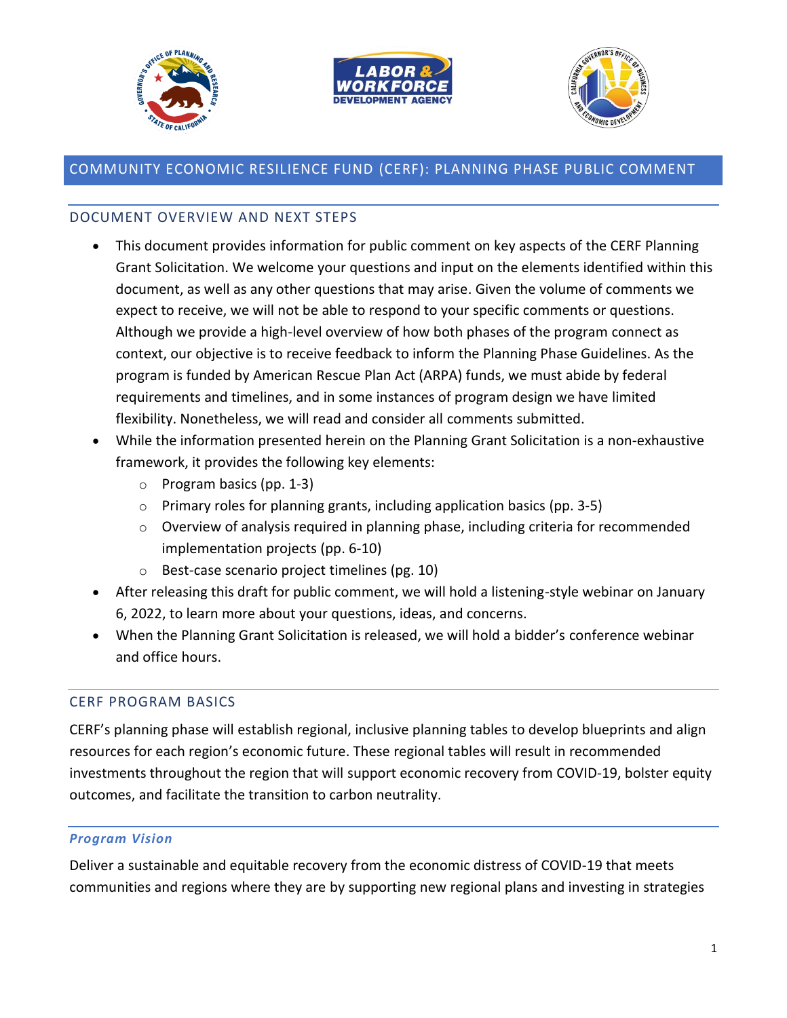





# COMMUNITY ECONOMIC RESILIENCE FUND (CERF): PLANNING PHASE PUBLIC COMMENT

#### DOCUMENT OVERVIEW AND NEXT STEPS

- This document provides information for public comment on key aspects of the CERF Planning Grant Solicitation. We welcome your questions and input on the elements identified within this document, as well as any other questions that may arise. Given the volume of comments we expect to receive, we will not be able to respond to your specific comments or questions. Although we provide a high-level overview of how both phases of the program connect as context, our objective is to receive feedback to inform the Planning Phase Guidelines. As the program is funded by American Rescue Plan Act (ARPA) funds, we must abide by federal requirements and timelines, and in some instances of program design we have limited flexibility. Nonetheless, we will read and consider all comments submitted.
- While the information presented herein on the Planning Grant Solicitation is a non-exhaustive framework, it provides the following key elements:
	- o Program basics (pp. 1-3)
	- $\circ$  Primary roles for planning grants, including application basics (pp. 3-5)
	- o Overview of analysis required in planning phase, including criteria for recommended implementation projects (pp. 6-10)
	- o Best-case scenario project timelines (pg. 10)
- After releasing this draft for public comment, we will hold a listening-style webinar on January 6, 2022, to learn more about your questions, ideas, and concerns.
- When the Planning Grant Solicitation is released, we will hold a bidder's conference webinar and office hours.

### CERF PROGRAM BASICS

CERF's planning phase will establish regional, inclusive planning tables to develop blueprints and align resources for each region's economic future. These regional tables will result in recommended investments throughout the region that will support economic recovery from COVID-19, bolster equity outcomes, and facilitate the transition to carbon neutrality.

#### *Program Vision*

Deliver a sustainable and equitable recovery from the economic distress of COVID-19 that meets communities and regions where they are by supporting new regional plans and investing in strategies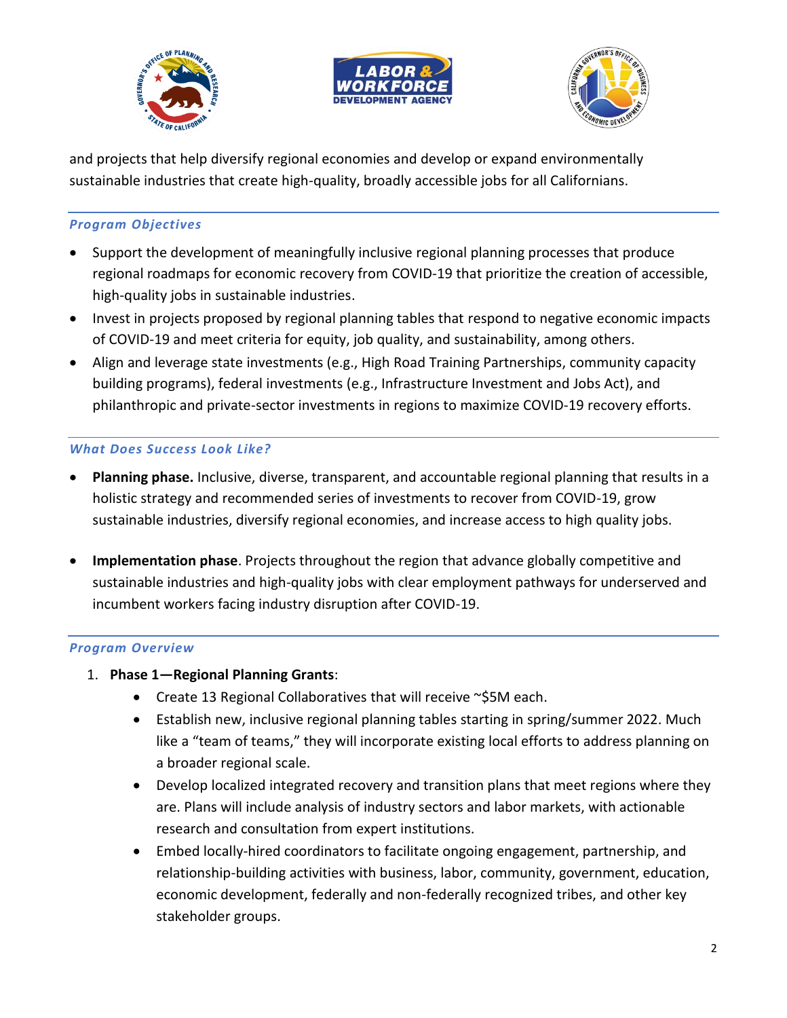





and projects that help diversify regional economies and develop or expand environmentally sustainable industries that create high-quality, broadly accessible jobs for all Californians.

### *Program Objectives*

- Support the development of meaningfully inclusive regional planning processes that produce regional roadmaps for economic recovery from COVID-19 that prioritize the creation of accessible, high-quality jobs in sustainable industries.
- Invest in projects proposed by regional planning tables that respond to negative economic impacts of COVID-19 and meet criteria for equity, job quality, and sustainability, among others.
- Align and leverage state investments (e.g., High Road Training Partnerships, community capacity building programs), federal investments (e.g., Infrastructure Investment and Jobs Act), and philanthropic and private-sector investments in regions to maximize COVID-19 recovery efforts.

### *What Does Success Look Like?*

- **Planning phase.** Inclusive, diverse, transparent, and accountable regional planning that results in a holistic strategy and recommended series of investments to recover from COVID-19, grow sustainable industries, diversify regional economies, and increase access to high quality jobs.
- **Implementation phase**. Projects throughout the region that advance globally competitive and sustainable industries and high-quality jobs with clear employment pathways for underserved and incumbent workers facing industry disruption after COVID-19.

### *Program Overview*

- 1. **Phase 1—Regional Planning Grants**:
	- Create 13 Regional Collaboratives that will receive ~\$5M each.
	- Establish new, inclusive regional planning tables starting in spring/summer 2022. Much like a "team of teams," they will incorporate existing local efforts to address planning on a broader regional scale.
	- Develop localized integrated recovery and transition plans that meet regions where they are. Plans will include analysis of industry sectors and labor markets, with actionable research and consultation from expert institutions.
	- Embed locally-hired coordinators to facilitate ongoing engagement, partnership, and relationship-building activities with business, labor, community, government, education, economic development, federally and non-federally recognized tribes, and other key stakeholder groups.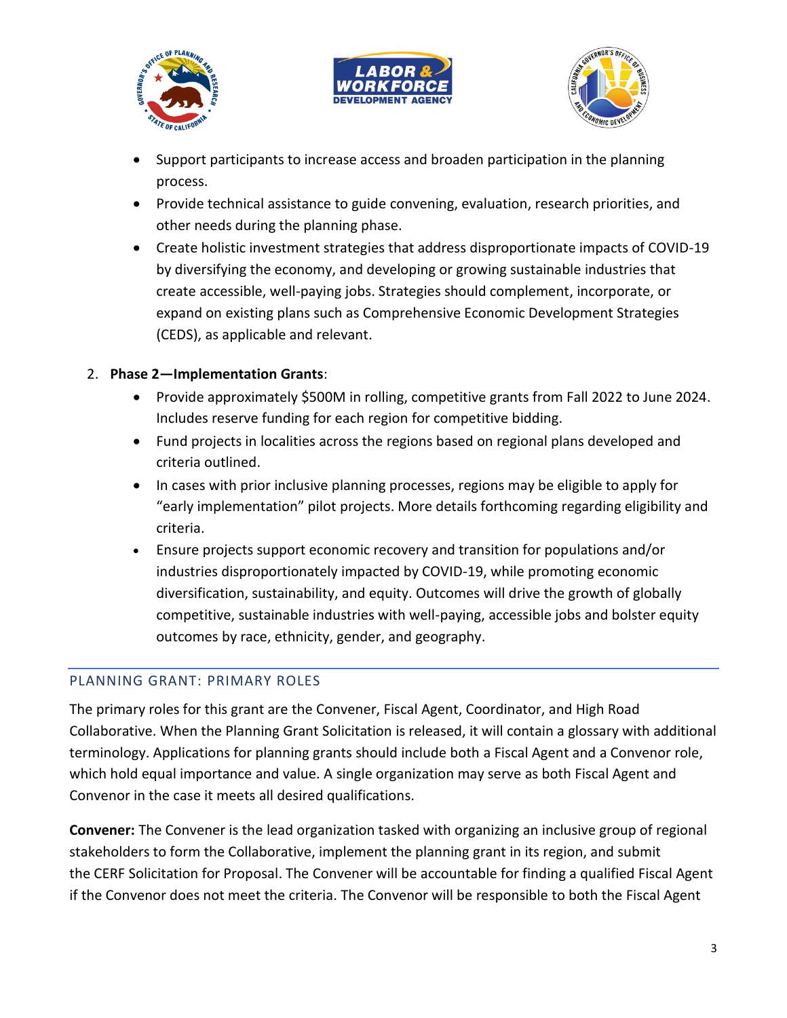





- Support participants to increase access and broaden participation in the planning process.
- Provide technical assistance to guide convening, evaluation, research priorities, and other needs during the planning phase.
- Create holistic investment strategies that address disproportionate impacts of COVID-19 by diversifying the economy, and developing or growing sustainable industries that create accessible, well-paying jobs. Strategies should complement, incorporate, or expand on existing plans such as Comprehensive Economic Development Strategies (CEDS), as applicable and relevant.

## 2. **Phase 2—Implementation Grants**:

- Provide approximately \$500M in rolling, competitive grants from Fall 2022 to June 2024. Includes reserve funding for each region for competitive bidding.
- Fund projects in localities across the regions based on regional plans developed and criteria outlined.
- In cases with prior inclusive planning processes, regions may be eligible to apply for "early implementation" pilot projects. More details forthcoming regarding eligibility and criteria.
- Ensure projects support economic recovery and transition for populations and/or industries disproportionately impacted by COVID-19, while promoting economic diversification, sustainability, and equity. Outcomes will drive the growth of globally competitive, sustainable industries with well-paying, accessible jobs and bolster equity outcomes by race, ethnicity, gender, and geography.

### PLANNING GRANT: PRIMARY ROLES

The primary roles for this grant are the Convener, Fiscal Agent, Coordinator, and High Road Collaborative. When the Planning Grant Solicitation is released, it will contain a glossary with additional terminology. Applications for planning grants should include both a Fiscal Agent and a Convenor role, which hold equal importance and value. A single organization may serve as both Fiscal Agent and Convenor in the case it meets all desired qualifications.

**Convener:** The Convener is the lead organization tasked with organizing an inclusive group of regional stakeholders to form the Collaborative, implement the planning grant in its region, and submit the CERF Solicitation for Proposal. The Convener will be accountable for finding a qualified Fiscal Agent if the Convenor does not meet the criteria. The Convenor will be responsible to both the Fiscal Agent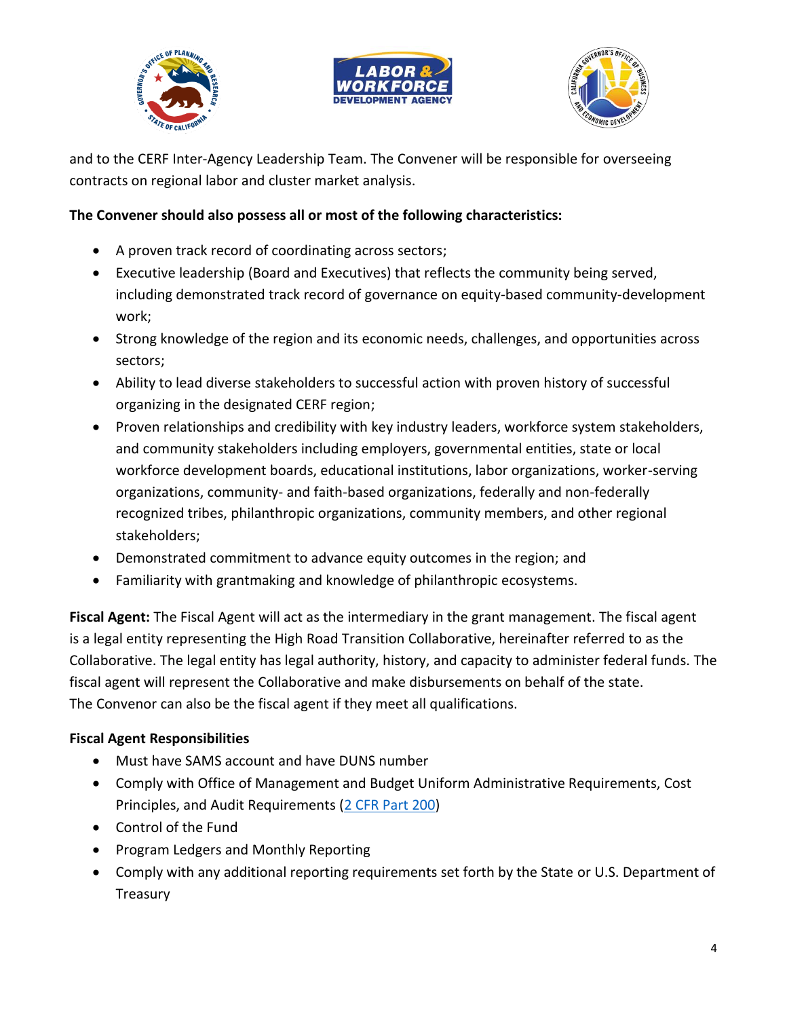





and to the CERF Inter-Agency Leadership Team. The Convener will be responsible for overseeing contracts on regional labor and cluster market analysis.

### **The Convener should also possess all or most of the following characteristics:**

- A proven track record of coordinating across sectors;
- Executive leadership (Board and Executives) that reflects the community being served, including demonstrated track record of governance on equity-based community-development work;
- Strong knowledge of the region and its economic needs, challenges, and opportunities across sectors;
- Ability to lead diverse stakeholders to successful action with proven history of successful organizing in the designated CERF region;
- Proven relationships and credibility with key industry leaders, workforce system stakeholders, and community stakeholders including employers, governmental entities, state or local workforce development boards, educational institutions, labor organizations, worker-serving organizations, community- and faith-based organizations, federally and non-federally recognized tribes, philanthropic organizations, community members, and other regional stakeholders;
- Demonstrated commitment to advance equity outcomes in the region; and
- Familiarity with grantmaking and knowledge of philanthropic ecosystems.

**Fiscal Agent:** The Fiscal Agent will act as the intermediary in the grant management. The fiscal agent is a legal entity representing the High Road Transition Collaborative, hereinafter referred to as the Collaborative. The legal entity has legal authority, history, and capacity to administer federal funds. The fiscal agent will represent the Collaborative and make disbursements on behalf of the state. The Convenor can also be the fiscal agent if they meet all qualifications.

## **Fiscal Agent Responsibilities**

- Must have SAMS account and have DUNS number
- Comply with Office of Management and Budget Uniform Administrative Requirements, Cost Principles, and Audit Requirements [\(2 CFR Part 200\)](http://www.ecfr.gov/cgi-bin/text-idx?tpl=/ecfrbrowse/Title02/2cfr200_main_02.tpl)
- Control of the Fund
- Program Ledgers and Monthly Reporting
- Comply with any additional reporting requirements set forth by the State or U.S. Department of Treasury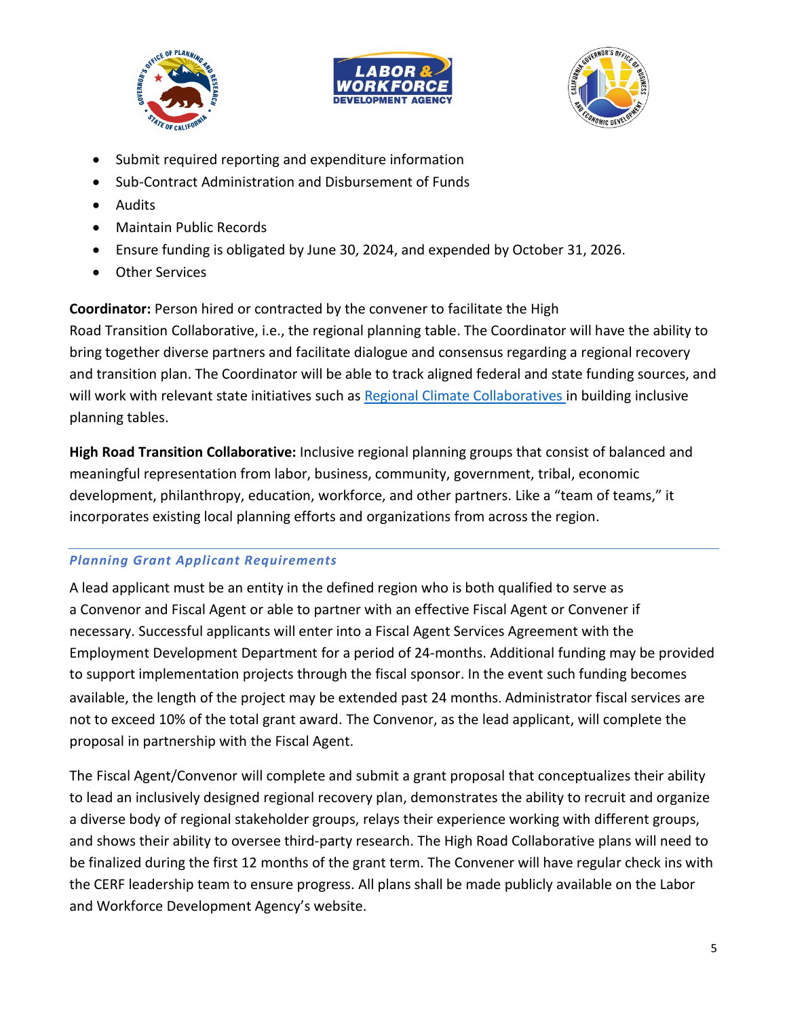





- Submit required reporting and expenditure information
- Sub-Contract Administration and Disbursement of Funds
- Audits
- Maintain Public Records
- Ensure funding is obligated by June 30, 2024, and expended by October 31, 2026.
- Other Services

**Coordinator:** Person hired or contracted by the convener to facilitate the High

Road Transition Collaborative, i.e., the regional planning table. The Coordinator will have the ability to bring together diverse partners and facilitate dialogue and consensus regarding a regional recovery and transition plan. The Coordinator will be able to track aligned federal and state funding sources, and will work with relevant state initiatives such as [Regional Climate Collaboratives](https://sgc.ca.gov/news/2019/09-30.html) in building inclusive planning tables.

**High Road Transition Collaborative:** Inclusive regional planning groups that consist of balanced and meaningful representation from labor, business, community, government, tribal, economic development, philanthropy, education, workforce, and other partners. Like a "team of teams," it incorporates existing local planning efforts and organizations from across the region.

## *Planning Grant Applicant Requirements*

A lead applicant must be an entity in the defined region who is both qualified to serve as a Convenor and Fiscal Agent or able to partner with an effective Fiscal Agent or Convener if necessary. Successful applicants will enter into a Fiscal Agent Services Agreement with the Employment Development Department for a period of 24-months. Additional funding may be provided to support implementation projects through the fiscal sponsor. In the event such funding becomes available, the length of the project may be extended past 24 months. Administrator fiscal services are not to exceed 10% of the total grant award. The Convenor, as the lead applicant, will complete the proposal in partnership with the Fiscal Agent.

The Fiscal Agent/Convenor will complete and submit a grant proposal that conceptualizes their ability to lead an inclusively designed regional recovery plan, demonstrates the ability to recruit and organize a diverse body of regional stakeholder groups, relays their experience working with different groups, and shows their ability to oversee third-party research. The High Road Collaborative plans will need to be finalized during the first 12 months of the grant term. The Convener will have regular check ins with the CERF leadership team to ensure progress. All plans shall be made publicly available on the Labor and Workforce Development Agency's website.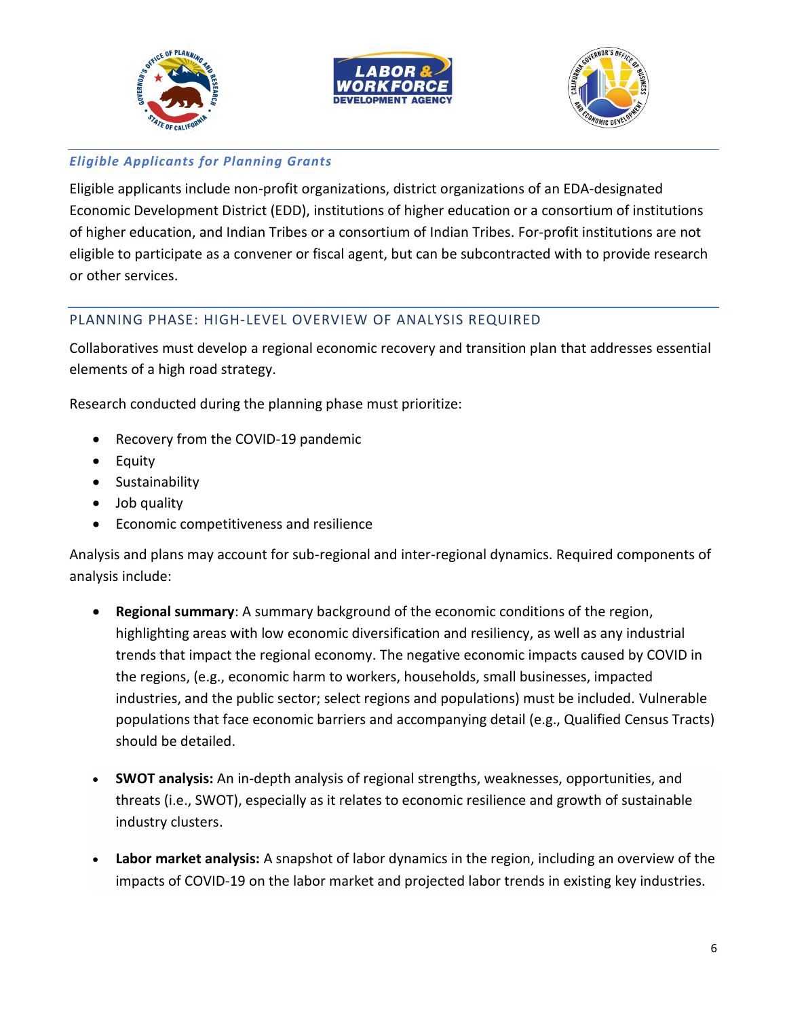





### *Eligible Applicants for Planning Grants*

Eligible applicants include non-profit organizations, district organizations of an EDA-designated Economic Development District (EDD), institutions of higher education or a consortium of institutions of higher education, and Indian Tribes or a consortium of Indian Tribes. For-profit institutions are not eligible to participate as a convener or fiscal agent, but can be subcontracted with to provide research or other services.

### PLANNING PHASE: HIGH-LEVEL OVERVIEW OF ANALYSIS REQUIRED

Collaboratives must develop a regional economic recovery and transition plan that addresses essential elements of a high road strategy.

Research conducted during the planning phase must prioritize:

- Recovery from the COVID-19 pandemic
- Equity
- Sustainability
- Job quality
- Economic competitiveness and resilience

Analysis and plans may account for sub-regional and inter-regional dynamics. Required components of analysis include:

- **Regional summary**: A summary background of the economic conditions of the region, highlighting areas with low economic diversification and resiliency, as well as any industrial trends that impact the regional economy. The negative economic impacts caused by COVID in the regions, (e.g., economic harm to workers, households, small businesses, impacted industries, and the public sector; select regions and populations) must be included. Vulnerable populations that face economic barriers and accompanying detail (e.g., Qualified Census Tracts) should be detailed.
- **SWOT analysis:** An in-depth analysis of regional strengths, weaknesses, opportunities, and threats (i.e., SWOT), especially as it relates to economic resilience and growth of sustainable industry clusters.
- **Labor market analysis:** A snapshot of labor dynamics in the region, including an overview of the impacts of COVID-19 on the labor market and projected labor trends in existing key industries.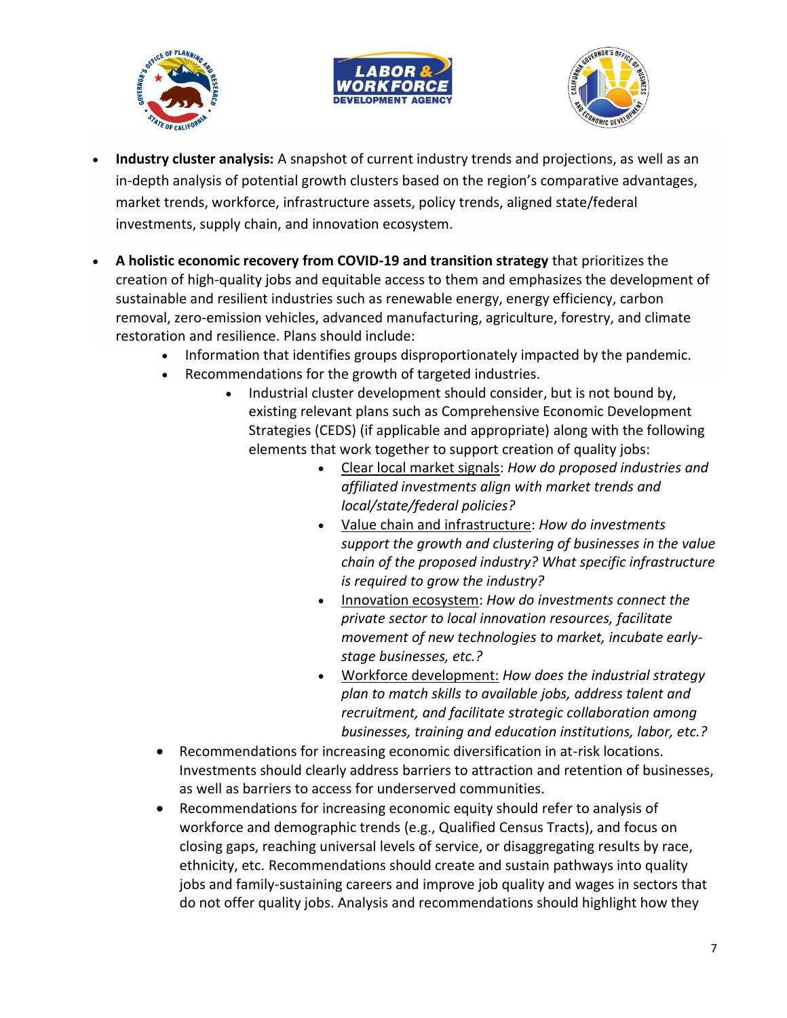





- **Industry cluster analysis:** A snapshot of current industry trends and projections, as well as an in-depth analysis of potential growth clusters based on the region's comparative advantages, market trends, workforce, infrastructure assets, policy trends, aligned state/federal investments, supply chain, and innovation ecosystem.
- **A holistic economic recovery from COVID-19 and transition strategy** that prioritizes the creation of high-quality jobs and equitable access to them and emphasizes the development of sustainable and resilient industries such as renewable energy, energy efficiency, carbon removal, zero-emission vehicles, advanced manufacturing, agriculture, forestry, and climate restoration and resilience. Plans should include:
	- Information that identifies groups disproportionately impacted by the pandemic.
	- Recommendations for the growth of targeted industries.
		- Industrial cluster development should consider, but is not bound by, existing relevant plans such as Comprehensive Economic Development Strategies (CEDS) (if applicable and appropriate) along with the following elements that work together to support creation of quality jobs:
			- Clear local market signals: *How do proposed industries and affiliated investments align with market trends and local/state/federal policies?*
			- Value chain and infrastructure: *How do investments support the growth and clustering of businesses in the value chain of the proposed industry? What specific infrastructure is required to grow the industry?*
			- Innovation ecosystem: *How do investments connect the private sector to local innovation resources, facilitate movement of new technologies to market, incubate earlystage businesses, etc.?*
			- Workforce development: *How does the industrial strategy plan to match skills to available jobs, address talent and recruitment, and facilitate strategic collaboration among businesses, training and education institutions, labor, etc.?*
	- Recommendations for increasing economic diversification in at-risk locations. Investments should clearly address barriers to attraction and retention of businesses, as well as barriers to access for underserved communities.
	- Recommendations for increasing economic equity should refer to analysis of workforce and demographic trends (e.g., Qualified Census Tracts), and focus on closing gaps, reaching universal levels of service, or disaggregating results by race, ethnicity, etc. Recommendations should create and sustain pathways into quality jobs and family-sustaining careers and improve job quality and wages in sectors that do not offer quality jobs. Analysis and recommendations should highlight how they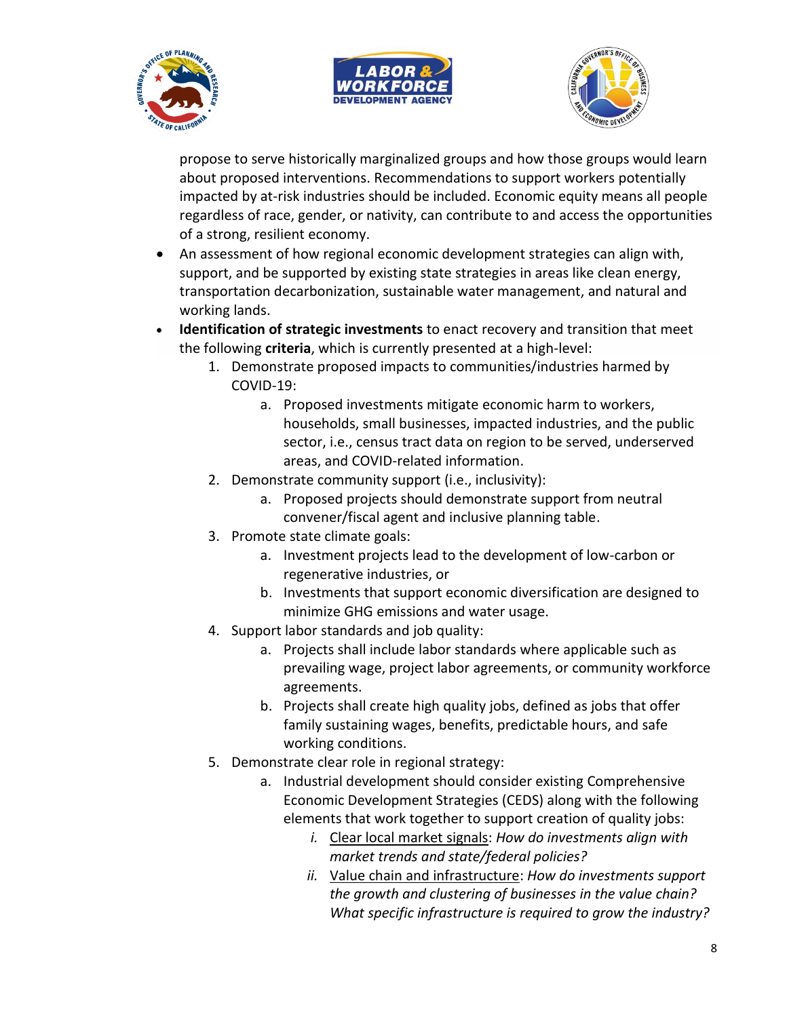





propose to serve historically marginalized groups and how those groups would learn about proposed interventions. Recommendations to support workers potentially impacted by at-risk industries should be included. Economic equity means all people regardless of race, gender, or nativity, can contribute to and access the opportunities of a strong, resilient economy.

- An assessment of how regional economic development strategies can align with, support, and be supported by existing state strategies in areas like clean energy, transportation decarbonization, sustainable water management, and natural and working lands.
- **Identification of strategic investments** to enact recovery and transition that meet the following **criteria**, which is currently presented at a high-level:
	- 1. Demonstrate proposed impacts to communities/industries harmed by COVID-19:
		- a. Proposed investments mitigate economic harm to workers, households, small businesses, impacted industries, and the public sector, i.e., census tract data on region to be served, underserved areas, and COVID-related information.
	- 2. Demonstrate community support (i.e., inclusivity):
		- a. Proposed projects should demonstrate support from neutral convener/fiscal agent and inclusive planning table.
	- 3. Promote state climate goals:
		- a. Investment projects lead to the development of low-carbon or regenerative industries, or
		- b. Investments that support economic diversification are designed to minimize GHG emissions and water usage.
	- 4. Support labor standards and job quality:
		- a. Projects shall include labor standards where applicable such as prevailing wage, project labor agreements, or community workforce agreements.
		- b. Projects shall create high quality jobs, defined as jobs that offer family sustaining wages, benefits, predictable hours, and safe working conditions.
	- 5. Demonstrate clear role in regional strategy:
		- a. Industrial development should consider existing Comprehensive Economic Development Strategies (CEDS) along with the following elements that work together to support creation of quality jobs:
			- *i.* Clear local market signals: *How do investments align with market trends and state/federal policies?*
			- *ii.* Value chain and infrastructure: *How do investments support the growth and clustering of businesses in the value chain? What specific infrastructure is required to grow the industry?*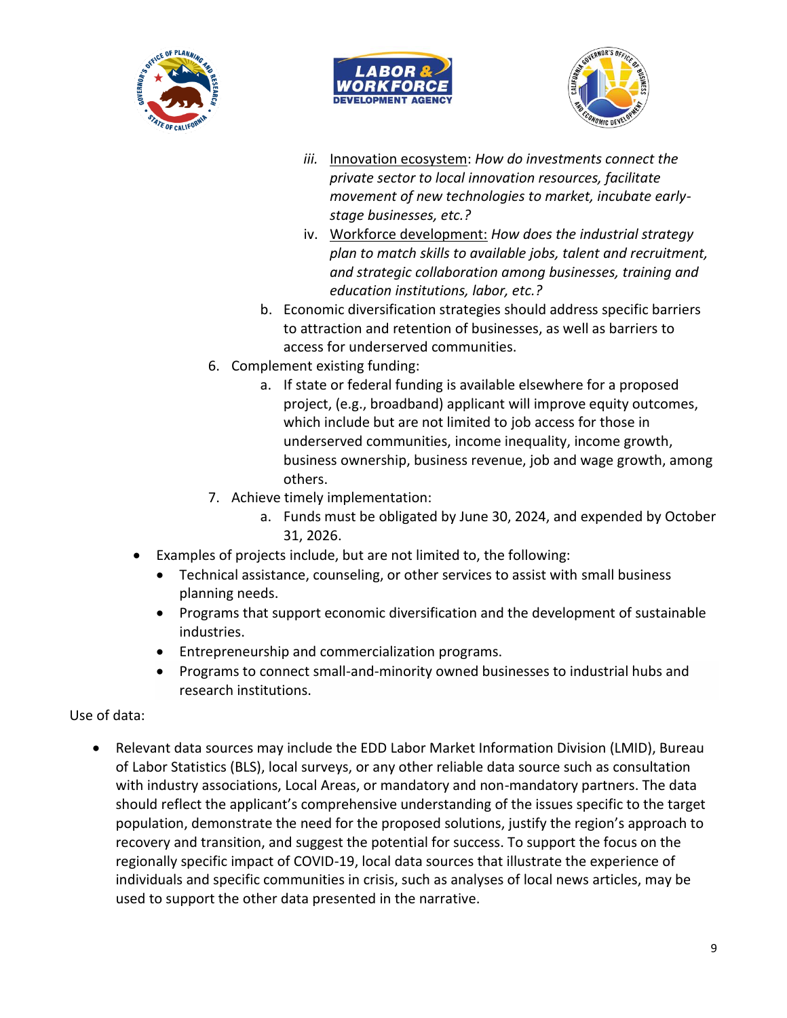





- *iii.* Innovation ecosystem: *How do investments connect the private sector to local innovation resources, facilitate movement of new technologies to market, incubate earlystage businesses, etc.?*
- iv. Workforce development: *How does the industrial strategy plan to match skills to available jobs, talent and recruitment, and strategic collaboration among businesses, training and education institutions, labor, etc.?*
- b. Economic diversification strategies should address specific barriers to attraction and retention of businesses, as well as barriers to access for underserved communities.
- 6. Complement existing funding:
	- a. If state or federal funding is available elsewhere for a proposed project, (e.g., broadband) applicant will improve equity outcomes, which include but are not limited to job access for those in underserved communities, income inequality, income growth, business ownership, business revenue, job and wage growth, among others.
- 7. Achieve timely implementation:
	- a. Funds must be obligated by June 30, 2024, and expended by October 31, 2026.
- Examples of projects include, but are not limited to, the following:
	- Technical assistance, counseling, or other services to assist with small business planning needs.
	- Programs that support economic diversification and the development of sustainable industries.
	- Entrepreneurship and commercialization programs.
	- Programs to connect small-and-minority owned businesses to industrial hubs and research institutions.

Use of data:

• Relevant data sources may include the EDD Labor Market Information Division (LMID), Bureau of Labor Statistics (BLS), local surveys, or any other reliable data source such as consultation with industry associations, Local Areas, or mandatory and non-mandatory partners. The data should reflect the applicant's comprehensive understanding of the issues specific to the target population, demonstrate the need for the proposed solutions, justify the region's approach to recovery and transition, and suggest the potential for success. To support the focus on the regionally specific impact of COVID-19, local data sources that illustrate the experience of individuals and specific communities in crisis, such as analyses of local news articles, may be used to support the other data presented in the narrative.